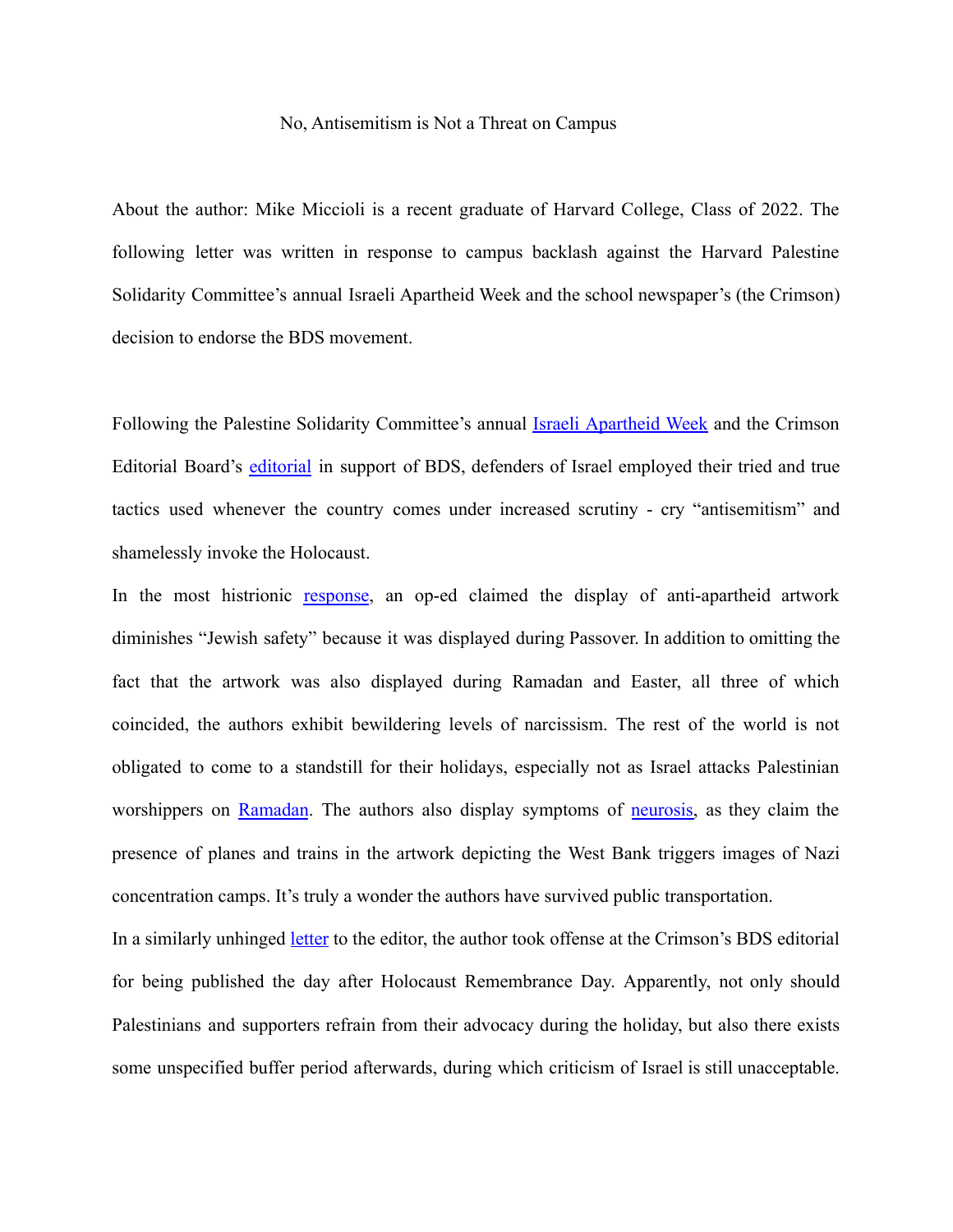## No, Antisemitism is Not a Threat on Campus

About the author: Mike Miccioli is a recent graduate of Harvard College, Class of 2022. The following letter was written in response to campus backlash against the Harvard Palestine Solidarity Committee's annual Israeli Apartheid Week and the school newspaper's (the Crimson) decision to endorse the BDS movement.

Following the Palestine Solidarity Committee's annual <u>Israeli [Apartheid](https://www.thecrimson.com/article/2022/4/22/israel-apartheid-week-2022/) Week</u> and the Crimson Editorial Board's [editorial](https://www.thecrimson.com/article/2022/4/29/editorial-bds/) in support of BDS, defenders of Israel employed their tried and true tactics used whenever the country comes under increased scrutiny - cry "antisemitism" and shamelessly invoke the Holocaust.

In the most histrionic [response](https://www.thecrimson.com/article/2022/5/2/araten-perl-iaw-op-ed/), an op-ed claimed the display of anti-apartheid artwork diminishes "Jewish safety" because it was displayed during Passover. In addition to omitting the fact that the artwork was also displayed during Ramadan and Easter, all three of which coincided, the authors exhibit bewildering levels of narcissism. The rest of the world is not obligated to come to a standstill for their holidays, especially not as Israel attacks Palestinian worshippers on [Ramadan](https://www.npr.org/2021/05/07/994940939/israeli-palestinian-clashes-escalate-in-ramadan-night-violence-at-al-aqsa-mosque). The authors also display symptoms of [neurosis,](https://www.webmd.com/mental-health/neurotic-behavior-overview) as they claim the presence of planes and trains in the artwork depicting the West Bank triggers images of Nazi concentration camps. It's truly a wonder the authors have survived public transportation.

In a similarly unhinged [letter](https://www.thecrimson.com/article/2022/5/4/stoll-lte/) to the editor, the author took offense at the Crimson's BDS editorial for being published the day after Holocaust Remembrance Day. Apparently, not only should Palestinians and supporters refrain from their advocacy during the holiday, but also there exists some unspecified buffer period afterwards, during which criticism of Israel is still unacceptable.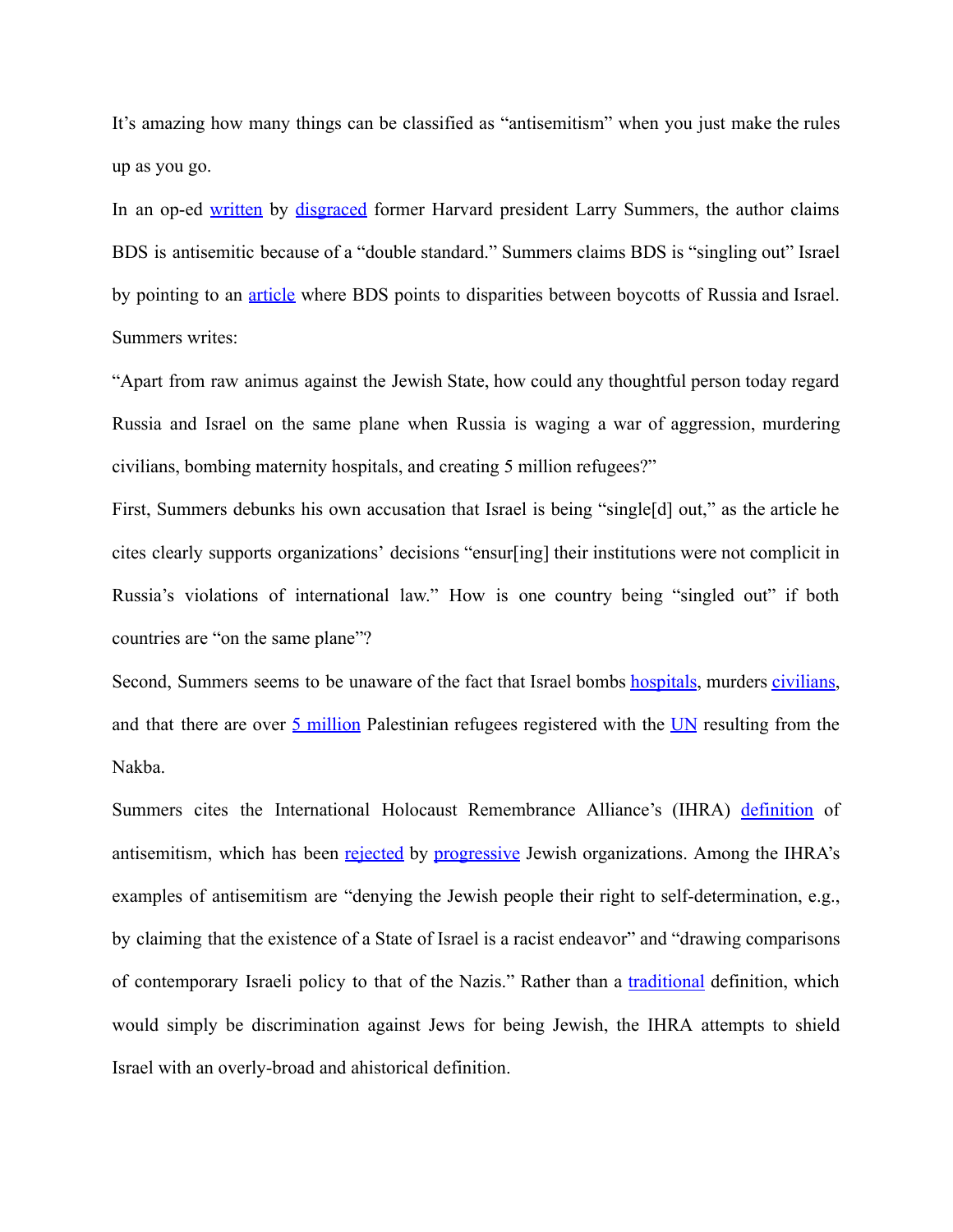It's amazing how many things can be classified as "antisemitism" when you just make the rules up as you go.

In an op-ed [written](https://www.nysun.com/article/antisemitism-comes-to-harvard-in-both-intent-and-effect) by [disgraced](https://www.nytimes.com/2006/02/22/education/22harvard.html) former Harvard president Larry Summers, the author claims BDS is antisemitic because of a "double standard." Summers claims BDS is "singling out" Israel by pointing to an [article](https://bdsmovement.net/news/western-academys-hypocrisy-sanctions-against-russia-not-israel) where BDS points to disparities between boycotts of Russia and Israel. Summers writes:

"Apart from raw animus against the Jewish State, how could any thoughtful person today regard Russia and Israel on the same plane when Russia is waging a war of aggression, murdering civilians, bombing maternity hospitals, and creating 5 million refugees?"

First, Summers debunks his own accusation that Israel is being "single[d] out," as the article he cites clearly supports organizations' decisions "ensur[ing] their institutions were not complicit in Russia's violations of international law." How is one country being "singled out" if both countries are "on the same plane"?

Second, Summers seems to be unaware of the fact that Israel bombs [hospitals,](https://www.middleeasteye.net/news/israel-gaza-hospitals-targeted-amid-heavy-israeli-bombardment) murders [civilians,](https://theintercept.com/2021/12/09/israel-attacks-gaza-palestine-civilians-killed/) and that there are over  $\frac{5 \text{ million}}{5 \text{ median}}$  $\frac{5 \text{ million}}{5 \text{ median}}$  $\frac{5 \text{ million}}{5 \text{ median}}$  Palestinian refugees registered with the [UN](https://www.unrwa.org/palestine-refugees) resulting from the Nakba.

Summers cites the International Holocaust Remembrance Alliance's (IHRA) [definition](https://www.holocaustremembrance.com/resources/working-definitions-charters/working-definition-antisemitism) of antisemitism, which has been [rejected](https://www.jewishvoiceforpeace.org/2021/02/ihra/) by [progressive](https://www.ifnotnowmovement.org/press) Jewish organizations. Among the IHRA's examples of antisemitism are "denying the Jewish people their right to self-determination, e.g., by claiming that the existence of a State of Israel is a racist endeavor" and "drawing comparisons of contemporary Israeli policy to that of the Nazis." Rather than a [traditional](https://www.merriam-webster.com/dictionary/anti-Semitism) definition, which would simply be discrimination against Jews for being Jewish, the IHRA attempts to shield Israel with an overly-broad and ahistorical definition.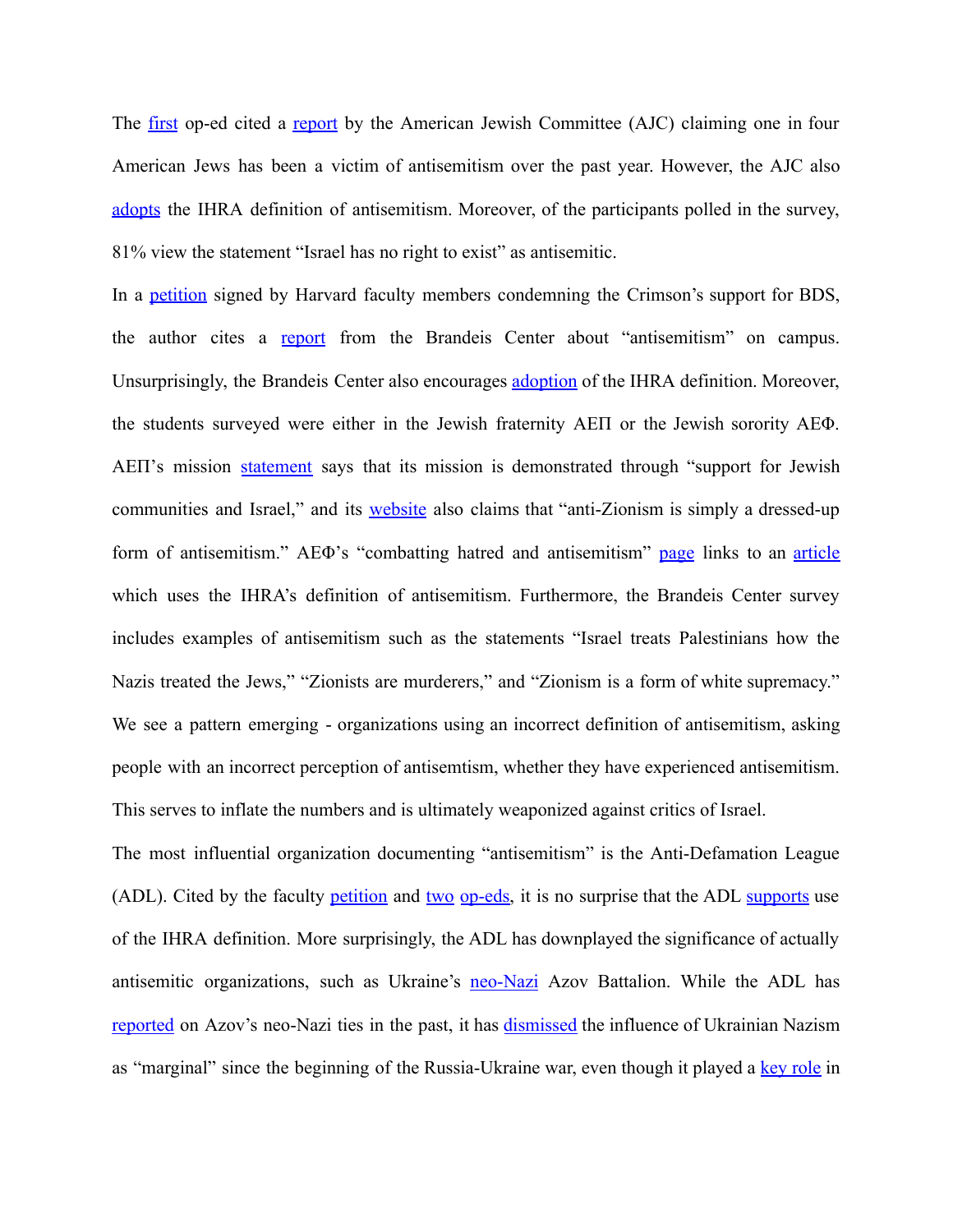The [first](https://www.thecrimson.com/article/2022/5/2/araten-perl-iaw-op-ed/) op-ed cited a [report](https://www.ajc.org/sites/default/files/pdf/2021-12/AJC2021StateofAntisemitisminAmericaReport_Reader-12.21.pdf) by the American Jewish Committee (AJC) claiming one in four American Jews has been a victim of antisemitism over the past year. However, the AJC also [adopts](https://www.ajc.org/sites/default/files/pdf/2021-08/TheWorkingDefinitionOfAntisemitism_%28UPDATED%208.21%29_v1.pdf) the IHRA definition of antisemitism. Moreover, of the participants polled in the survey, 81% view the statement "Israel has no right to exist" as antisemitic.

In a [petition](https://www.harvardfacultystatement.com/) signed by Harvard faculty members condemning the Crimson's support for BDS, the author cites a [report](https://brandeiscenter.com/wp-content/uploads/2021/09/Brandeis-Survey-Findings.pdf) from the Brandeis Center about "antisemitism" on campus. Unsurprisingly, the Brandeis Center also encourages [adoption](https://brandeiscenter.com/ldb-signs-letter-to-university-presidents-requesting-adoption-of-ihra/) of the IHRA definition. Moreover, the students surveyed were either in the Jewish fraternity AEΠ or the Jewish sorority AEΦ. AEΠ's mission [statement](https://www.aepi.org/) says that its mission is demonstrated through "support for Jewish communities and Israel," and its [website](https://www.aepi.org/2021/05/25/jims-journal-fighting-antisemitism/) also claims that "anti-Zionism is simply a dressed-up form of antisemitism." AEΦ's "combatting hatred and antisemitism" [page](https://www.aephi.org/combating-hatred-and-antisemitism) links to an [article](https://www.insidehighered.com/views/2021/02/02/anti-semitism-major-problem-campuses-and-students-must-be-educated-about-it-opinion?fbclid=IwAR05WexdUzWfHkt6ex3XiZnXCmM9mYl3U0GU4sMQE8at2SA3XmPfj5jg150) which uses the IHRA's definition of antisemitism. Furthermore, the Brandeis Center survey includes examples of antisemitism such as the statements "Israel treats Palestinians how the Nazis treated the Jews," "Zionists are murderers," and "Zionism is a form of white supremacy." We see a pattern emerging - organizations using an incorrect definition of antisemitism, asking people with an incorrect perception of antisemtism, whether they have experienced antisemitism. This serves to inflate the numbers and is ultimately weaponized against critics of Israel.

The most influential organization documenting "antisemitism" is the Anti-Defamation League (ADL). Cited by the faculty [petition](https://www.harvardfacultystatement.com/) and [two](https://www.thecrimson.com/article/2022/5/2/araten-perl-iaw-op-ed/) [op-eds,](https://www.thecrimson.com/article/2022/5/9/open-letter-of-dissent/) it is no surprise that the ADL [supports](https://www.adl.org/resources/backgrounders/about-the-ihra-working-definition-of-antisemitism) use of the IHRA definition. More surprisingly, the ADL has downplayed the significance of actually antisemitic organizations, such as Ukraine's [neo-Nazi](https://www.haaretz.com/world-news/europe/.premium-inside-the-extremist-group-that-dreams-of-ruling-ukraine-1.6936835) Azov Battalion. While the ADL has [reported](https://www.adl.org/resources/reports/hate-beyond-borders-the-internationalization-of-white-supremacy) on Azov's neo-Nazi ties in the past, it has [dismissed](https://www.adl.org/blog/why-is-putin-calling-the-ukrainian-government-a-bunch-of-nazis) the influence of Ukrainian Nazism as "marginal" since the beginning of the Russia-Ukraine war, even though it played a key [role](https://jacobinmag.com/2022/02/maidan-protests-neo-nazis-russia-nato-crimea) in